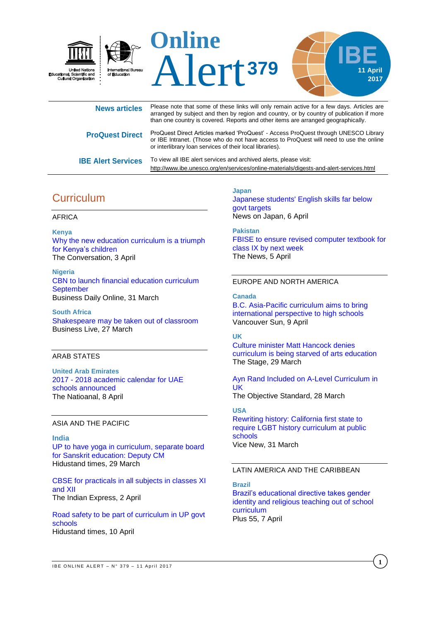

| <b>News articles</b>      | Please note that some of these links will only remain active for a few days. Articles are<br>arranged by subject and then by region and country, or by country of publication if more<br>than one country is covered. Reports and other items are arranged geographically. |
|---------------------------|----------------------------------------------------------------------------------------------------------------------------------------------------------------------------------------------------------------------------------------------------------------------------|
| <b>ProQuest Direct</b>    | ProQuest Direct Articles marked 'ProQuest' - Access ProQuest through UNESCO Library<br>or IBE Intranet. (Those who do not have access to ProQuest will need to use the online<br>or interlibrary loan services of their local libraries).                                  |
| <b>IBE Alert Services</b> | To view all IBE alert services and archived alerts, please visit:<br>http://www.ibe.unesco.org/en/services/online-materials/digests-and-alert-services.html                                                                                                                |

# **Curriculum**

### AFRICA

**Kenya** [Why the new education curriculum is a triumph](https://theconversation.com/why-the-new-education-curriculum-is-a-triumph-for-kenyas-children-75090)  [for Kenya's](https://theconversation.com/why-the-new-education-curriculum-is-a-triumph-for-kenyas-children-75090) children The Conversation, 3 April

**Nigeria** [CBN to launch financial education curriculum](http://www.businessdayonline.com/cbn-launch-financial-education-curriculum-september/)  **[September](http://www.businessdayonline.com/cbn-launch-financial-education-curriculum-september/)** Business Daily Online, 31 March

**South Africa** [Shakespeare may be taken out of classroom](https://www.businesslive.co.za/bd/national/education/2017-03-27-shakespeare-may-be-taken-out-of-classroom/) Business Live, 27 March

### ARAB STATES

**United Arab Emirates** 2017 - [2018 academic calendar for UAE](http://www.thenational.ae/uae/2017---2018-academic-calendar-for-uae-schools-announced)  [schools announced](http://www.thenational.ae/uae/2017---2018-academic-calendar-for-uae-schools-announced) The Natioanal, 8 April

### ASIA AND THE PACIFIC

**India** [UP to have yoga in curriculum, separate board](http://www.hindustantimes.com/india-news/up-to-have-yoga-in-curriculum-separate-board-for-sanskrit-education-deputy-cm/story-80QTd8N5fTroYn8zB4A9NL.html)  [for Sanskrit education: Deputy CM](http://www.hindustantimes.com/india-news/up-to-have-yoga-in-curriculum-separate-board-for-sanskrit-education-deputy-cm/story-80QTd8N5fTroYn8zB4A9NL.html) Hidustand times, 29 March

[CBSE for practicals in all subjects in classes XI](http://indianexpress.com/article/education/cbse-for-practicals-in-all-subjects-in-classes-xi-and-xii-4595752/)  [and](http://indianexpress.com/article/education/cbse-for-practicals-in-all-subjects-in-classes-xi-and-xii-4595752/) XII The Indian Express, 2 April

[Road safety to be part of curriculum in UP govt](http://www.hindustantimes.com/lucknow/road-safety-to-be-part-of-curriculum-in-up-govt-schools/story-E2E5oKFj0IE1dNQ0DfvBRL.html)  [schools](http://www.hindustantimes.com/lucknow/road-safety-to-be-part-of-curriculum-in-up-govt-schools/story-E2E5oKFj0IE1dNQ0DfvBRL.html) Hidustand times, 10 April

**Japan** [Japanese students' English skills far below](http://newsonjapan.com/html/newsdesk/article/119528.php)  [govt targets](http://newsonjapan.com/html/newsdesk/article/119528.php) News on Japan, 6 April

**Pakistan** [FBISE to ensure revised computer textbook for](https://www.thenews.com.pk/print/196612-FBISE-to-ensure-revised-computer-textbook-for-class-IX-by-next-week)  [class IX by next week](https://www.thenews.com.pk/print/196612-FBISE-to-ensure-revised-computer-textbook-for-class-IX-by-next-week) The News, 5 April

### EUROPE AND NORTH AMERICA

**Canada**

[B.C. Asia-Pacific curriculum aims to bring](http://vancouversun.com/news/local-news/b-c-asia-pacific-curriculum-aims-to-bring-international-perspective-to-high-schools)  [international perspective to high schools](http://vancouversun.com/news/local-news/b-c-asia-pacific-curriculum-aims-to-bring-international-perspective-to-high-schools) Vancouver Sun, 9 April

## **UK**

[Culture minister Matt Hancock denies](https://www.thestage.co.uk/news/2017/culture-minister-matt-hancock-denies-curriculum-starved-arts-education/)  [curriculum is being starved of arts education](https://www.thestage.co.uk/news/2017/culture-minister-matt-hancock-denies-curriculum-starved-arts-education/) The Stage, 29 March

[Ayn Rand Included on A-Level Curriculum in](https://www.theobjectivestandard.com/2017/03/ayn-rand-included-on-a-level-curriculum-in-uk/)  [UK](https://www.theobjectivestandard.com/2017/03/ayn-rand-included-on-a-level-curriculum-in-uk/)

The Objective Standard, 28 March

## **USA**

[Rewriting history: California first state to](https://news.vice.com/story/california-lgbtq-laws-history)  [require LGBT history curriculum at public](https://news.vice.com/story/california-lgbtq-laws-history)  [schools](https://news.vice.com/story/california-lgbtq-laws-history) Vice New, 31 March

#### LATIN AMERICA AND THE CARIBBEAN

**Brazil** [Brazil's educational directive takes gender](http://plus55.com/brazil-culture/2017/04/educational-directive-gender-identity-religious-teaching)  [identity and religious teaching out of school](http://plus55.com/brazil-culture/2017/04/educational-directive-gender-identity-religious-teaching)  [curriculum](http://plus55.com/brazil-culture/2017/04/educational-directive-gender-identity-religious-teaching) Plus 55, 7 April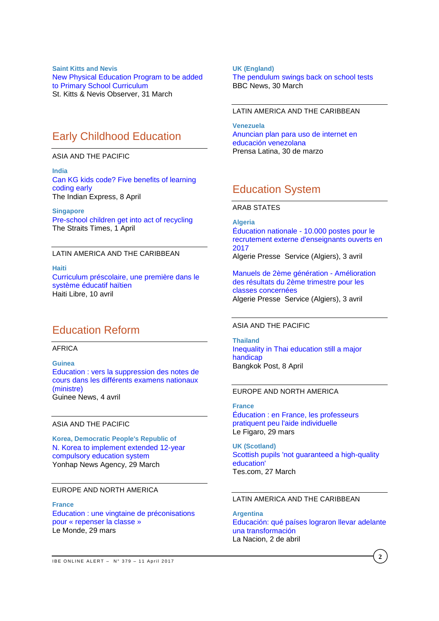**Saint Kitts and Nevis** [New Physical Education Program to be added](http://www.thestkittsnevisobserver.com/local-news/new-physical-education-program-added-primary-school-curriculum/)  [to Primary School Curriculum](http://www.thestkittsnevisobserver.com/local-news/new-physical-education-program-added-primary-school-curriculum/) St. Kitts & Nevis Observer, 31 March

# Early Childhood Education

ASIA AND THE PACIFIC

**India** [Can KG kids code? Five benefits of learning](http://indianexpress.com/article/education/can-kindergarten-school-kids-code-five-things-that-coding-can-teach-children-4604762/)  [coding](http://indianexpress.com/article/education/can-kindergarten-school-kids-code-five-things-that-coding-can-teach-children-4604762/) early The Indian Express, 8 April

**Singapore** [Pre-school children get into act of recycling](http://www.straitstimes.com/singapore/education/pre-school-children-get-into-act-of-recycling) The Straits Times, 1 April

### LATIN AMERICA AND THE CARIBBEAN

**Haiti** [Curriculum préscolaire, une première dans le](https://www.haitilibre.com/article-20621-haiti-education-curriculum-prescolaire-une-premiere-dans-le-systeme-educatif-haitien.html)  [système éducatif haïtien](https://www.haitilibre.com/article-20621-haiti-education-curriculum-prescolaire-une-premiere-dans-le-systeme-educatif-haitien.html) Haiti Libre, 10 avril

# Education Reform

#### AFRICA

**Guinea** [Education : vers la suppression des notes de](http://guineenews.org/education-vers-la-suppression-des-notes-de-cours-dans-les-differents-examens-nationaux-ministre/)  [cours dans les différents examens nationaux](http://guineenews.org/education-vers-la-suppression-des-notes-de-cours-dans-les-differents-examens-nationaux-ministre/)  [\(ministre\)](http://guineenews.org/education-vers-la-suppression-des-notes-de-cours-dans-les-differents-examens-nationaux-ministre/) Guinee News, 4 avril

#### ASIA AND THE PACIFIC

**Korea, Democratic People's Republic of** [N. Korea to implement extended 12-year](http://english.yonhapnews.co.kr/northkorea/2017/03/29/0401000000AEN20170329008500315.html)  [compulsory education system](http://english.yonhapnews.co.kr/northkorea/2017/03/29/0401000000AEN20170329008500315.html) Yonhap News Agency, 29 March

### EUROPE AND NORTH AMERICA

**France** Education [: une vingtaine de préconisations](http://www.lemonde.fr/societe/article/2017/03/29/education-une-vingtaine-de-preconisations-pour-repenser-la-classe_5102463_3224.html)  pour « [repenser la classe](http://www.lemonde.fr/societe/article/2017/03/29/education-une-vingtaine-de-preconisations-pour-repenser-la-classe_5102463_3224.html) » Le Monde, 29 mars

 **2017** [The pendulum swings back on school tests](http://www.bbc.com/news/education-39444999) **UK (England)** BBC News, 30 March

### LATIN AMERICA AND THE CARIBBEAN

**Venezuela** [Anuncian plan para uso de internet en](http://www.prensa-latina.cu/index.php?o=rn&id=74950&SEO=anuncian-plan-para-uso-de-internet-en-educacion-venezolana)  [educación venezolana](http://www.prensa-latina.cu/index.php?o=rn&id=74950&SEO=anuncian-plan-para-uso-de-internet-en-educacion-venezolana) Prensa Latina, 30 de marzo

# Education System

### ARAB STATES

**Algeria** Éducation nationale - [10.000 postes pour le](http://fr.allafrica.com/stories/201704050436.html)  [recrutement externe d'enseignants ouverts en](http://fr.allafrica.com/stories/201704050436.html)  [2017](http://fr.allafrica.com/stories/201704050436.html) Algerie Presse Service (Algiers), 3 avril

[Manuels de 2ème génération -](http://fr.allafrica.com/stories/201704050415.html) Amélioration [des résultats du 2ème trimestre pour les](http://fr.allafrica.com/stories/201704050415.html)  [classes concernées](http://fr.allafrica.com/stories/201704050415.html) Algerie Presse Service (Algiers), 3 avril

### ASIA AND THE PACIFIC

**Thailand** [Inequality in Thai education still a major](http://www.bangkokpost.com/news/general/1229176/urban-rural-gap-a-big-issue-in-education)  [handicap](http://www.bangkokpost.com/news/general/1229176/urban-rural-gap-a-big-issue-in-education) Bangkok Post, 8 April

### EUROPE AND NORTH AMERICA

**France** [Éducation : en France, les professeurs](http://www.lefigaro.fr/actualite-france/2017/03/29/01016-20170329ARTFIG00014-education-en-france-les-professeurs-pratiquent-peu-l-aide-individuelle.php)  [pratiquent peu l'aide individuelle](http://www.lefigaro.fr/actualite-france/2017/03/29/01016-20170329ARTFIG00014-education-en-france-les-professeurs-pratiquent-peu-l-aide-individuelle.php) Le Figaro, 29 mars

**UK (Scotland)** [Scottish pupils 'not guaranteed a high-quality](https://www.tes.com/news/school-news/breaking-news/scottish-pupils-not-guaranteed-a-high-quality-education)  [education'](https://www.tes.com/news/school-news/breaking-news/scottish-pupils-not-guaranteed-a-high-quality-education) Tes.com, 27 March

#### LATIN AMERICA AND THE CARIBBEAN

**Argentina** [Educación: qué países lograron llevar adelante](http://www.lanacion.com.ar/2002635-educacion-que-paises-lograron-llevar-adelante-una-transformacion)  [una transformación](http://www.lanacion.com.ar/2002635-educacion-que-paises-lograron-llevar-adelante-una-transformacion) La Nacion, 2 de abril

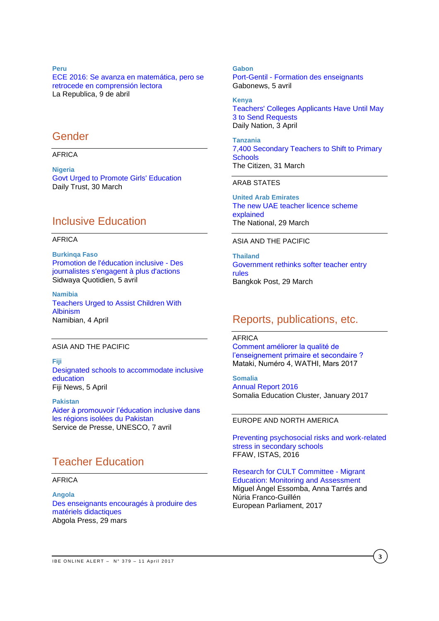**Peru** [ECE 2016: Se avanza en matemática, pero se](http://larepublica.pe/impresa/sociedad/863521-se-avanza-en-matematica-pero-se-retrocede-en-comprension-lectora)  [retrocede en comprensión lectora](http://larepublica.pe/impresa/sociedad/863521-se-avanza-en-matematica-pero-se-retrocede-en-comprension-lectora) La Republica, 9 de abril

## Gender

AFRICA

**Nigeria** [Govt Urged to Promote Girls' Education](http://allafrica.com/stories/201703300572.html) Daily Trust, 30 March

# Inclusive Education

### AFRICA

**Burkinqa Faso** [Promotion de l'éducation inclusive -](http://fr.allafrica.com/stories/201704060449.html) Des [journalistes s'engagent à plus d'actions](http://fr.allafrica.com/stories/201704060449.html) Sidwaya Quotidien, 5 avril

**Namibia** [Teachers Urged to Assist Children With](http://allafrica.com/stories/201704040360.html)  [Albinism](http://allafrica.com/stories/201704040360.html) Namibian, 4 April

### ASIA AND THE PACIFIC

**Fiji** [Designated schools to accommodate inclusive](http://www.fbc.com.fj/fiji/49619/designated-schools-to-accommodate-inclusive-education)  [education](http://www.fbc.com.fj/fiji/49619/designated-schools-to-accommodate-inclusive-education)  Fiji News, 5 April

**Pakistan** [Aider à promouvoir l'éducation inclusive dans](http://www.unesco.org/new/fr/media-services/single-view/news/helping_promote_inclusive_education_in_remote_areas_of_pakis/)  [les régions isolées du Pakistan](http://www.unesco.org/new/fr/media-services/single-view/news/helping_promote_inclusive_education_in_remote_areas_of_pakis/) Service de Presse, UNESCO, 7 avril

# Teacher Education

### AFRICA

**Angola** [Des enseignants encouragés à produire des](http://fr.allafrica.com/stories/201703290794.html)  [matériels didactiques](http://fr.allafrica.com/stories/201703290794.html) Abgola Press, 29 mars

**Gabon** Port-Gentil - [Formation des enseignants](http://fr.allafrica.com/stories/201704060156.html) Gabonews, 5 avril

**Kenya** [Teachers' Colleges Applicants Have Until May](http://allafrica.com/stories/201704040146.html)  [3 to Send Requests](http://allafrica.com/stories/201704040146.html) Daily Nation, 3 April

**Tanzania** [7,400 Secondary Teachers to Shift to Primary](http://allafrica.com/stories/201703310594.html)  **[Schools](http://allafrica.com/stories/201703310594.html)** The Citizen, 31 March

### ARAB STATES

**United Arab Emirates** [The new UAE teacher licence scheme](http://www.thenational.ae/the-new-uae-teacher-licence-scheme-explained)  [explained](http://www.thenational.ae/the-new-uae-teacher-licence-scheme-explained) The National, 29 March

### ASIA AND THE PACIFIC

**Thailand** [Government rethinks softer teacher entry](http://www.bangkokpost.com/news/general/1222860/government-rethinks-softer-teacher-entry-rules)  [rules](http://www.bangkokpost.com/news/general/1222860/government-rethinks-softer-teacher-entry-rules) Bangkok Post, 29 March

# Reports, publications, etc.

AFRICA [Comment améliorer la qualité de](http://www.wathi.org/wp-content/uploads/2017/03/Mataki_Education.pdf)  [l'enseignement primaire et secondaire ?](http://www.wathi.org/wp-content/uploads/2017/03/Mataki_Education.pdf)  Mataki, Numéro 4, WATHI, Mars 2017

**Somalia** [Annual Report 2016](http://reliefweb.int/sites/reliefweb.int/files/resources/somalia_education_cluster_annual_report_2016.pdf)  Somalia Education Cluster, January 2017

#### EUROPE AND NORTH AMERICA

[Preventing psychosocial risks and work-related](https://www.csee-etuce.org/images/attachments/Report_ETUCE_EFEE_Stress_reduction_project_FFAW-ISTAS_120416_2.pdf)  [stress in secondary schools](https://www.csee-etuce.org/images/attachments/Report_ETUCE_EFEE_Stress_reduction_project_FFAW-ISTAS_120416_2.pdf) FFAW, ISTAS, 2016

[Research for CULT Committee -](http://www.europarl.europa.eu/RegData/etudes/STUD/2017/585903/IPOL_STU(2017)585903_EN.pdf) Migrant [Education: Monitoring and Assessment](http://www.europarl.europa.eu/RegData/etudes/STUD/2017/585903/IPOL_STU(2017)585903_EN.pdf) Miguel Àngel Essomba, Anna Tarrés and Núria Franco-Guillén European Parliament, 2017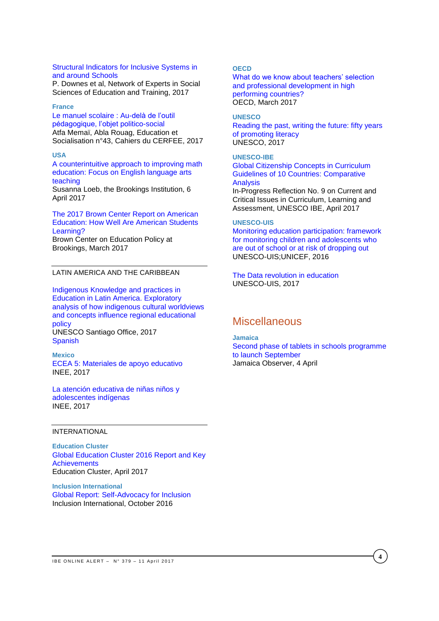### [Structural Indicators for Inclusive Systems in](https://bookshop.europa.eu/en/structural-indicators-for-inclusive-systems-in-and-around-schools-pbNC0116894/)  [and around Schools](https://bookshop.europa.eu/en/structural-indicators-for-inclusive-systems-in-and-around-schools-pbNC0116894/)

P. Downes et al, Network of Experts in Social Sciences of Education and Training, 2017

#### **France**

[Le manuel scolaire](http://edso.revues.org/2014) : Au-delà de l'outil [pédagogique, l'objet politico-social](http://edso.revues.org/2014) Atfa Memaï, Abla Rouag, Education et Socialisation n°43, Cahiers du CERFEE, 2017

#### **USA**

[A counterintuitive approach to improving math](https://www.brookings.edu/research/a-counterintuitive-approach-to-improving-math-education-focus-on-english-language-arts-teaching/)  [education: Focus on English language arts](https://www.brookings.edu/research/a-counterintuitive-approach-to-improving-math-education-focus-on-english-language-arts-teaching/)  [teaching](https://www.brookings.edu/research/a-counterintuitive-approach-to-improving-math-education-focus-on-english-language-arts-teaching/) Susanna Loeb, the Brookings Institution, 6 April 2017

### [The 2017 Brown Center Report on American](https://www.brookings.edu/wp-content/uploads/2017/03/2017-brown-center-report-on-american-education.pdf)  [Education: How Well Are American Students](https://www.brookings.edu/wp-content/uploads/2017/03/2017-brown-center-report-on-american-education.pdf)  [Learning?](https://www.brookings.edu/wp-content/uploads/2017/03/2017-brown-center-report-on-american-education.pdf)

Brown Center on Education Policy at Brookings, March 2017

### LATIN AMERICA AND THE CARIBBEAN

[Indigenous Knowledge and practices in](http://unesdoc.unesco.org/images/0024/002477/247754E.pdf)  [Education in Latin America. Exploratory](http://unesdoc.unesco.org/images/0024/002477/247754E.pdf)  [analysis of how indigenous cultural worldviews](http://unesdoc.unesco.org/images/0024/002477/247754E.pdf)  [and concepts influence regional educational](http://unesdoc.unesco.org/images/0024/002477/247754E.pdf)  [policy](http://unesdoc.unesco.org/images/0024/002477/247754E.pdf) UNESCO Santiago Office, 2017

**[Spanish](http://unesdoc.unesco.org/images/0024/002477/247754S.pdf)** 

### **Mexico** [ECEA 5: Materiales de apoyo educativo](http://publicaciones.inee.edu.mx/buscadorPub/P2/A/325/P2A325.pdf) INEE, 2017

[La atención educativa de niñas niños y](http://publicaciones.inee.edu.mx/buscadorPub/P2/A/324/P2A324.pdf)  [adolescentes indígenas](http://publicaciones.inee.edu.mx/buscadorPub/P2/A/324/P2A324.pdf) INEE, 2017

## INTERNATIONAL

**Education Cluster** [Global Education Cluster 2016 Report and Key](http://educationcluster.net/wp-content/uploads/2017/04/Global-Education-Cluster-2016-Report_FINAL_2017-03-22.pdf)  [Achievements](http://educationcluster.net/wp-content/uploads/2017/04/Global-Education-Cluster-2016-Report_FINAL_2017-03-22.pdf) Education Cluster, April 2017

**Inclusion International** [Global Report: Self-Advocacy for Inclusion](http://inclusion-international.org/wp-content/uploads/2016/11/Global-report-on-self-advocacy.pdf) Inclusion International, October 2016

### **OECD**

[What do we know about teachers' selection](http://www.oecd-ilibrary.org/docserver/download/87acdc87-en.pdf?expires=1491889792&id=id&accname=guest&checksum=2ADDFF17F15AFC177090493D67B3B7CE)  [and professional development in high](http://www.oecd-ilibrary.org/docserver/download/87acdc87-en.pdf?expires=1491889792&id=id&accname=guest&checksum=2ADDFF17F15AFC177090493D67B3B7CE)  [performing countries?](http://www.oecd-ilibrary.org/docserver/download/87acdc87-en.pdf?expires=1491889792&id=id&accname=guest&checksum=2ADDFF17F15AFC177090493D67B3B7CE) OECD, March 2017

### **UNESCO**

[Reading the past, writing the future: fifty years](http://unesdoc.unesco.org/images/0024/002475/247563e.pdf)  [of promoting literacy](http://unesdoc.unesco.org/images/0024/002475/247563e.pdf) UNESCO, 2017

### **UNESCO-IBE**

[Global Citizenship Concepts in Curriculum](http://unesdoc.unesco.org/images/0024/002477/247788E.pdf)  [Guidelines of 10 Countries: Comparative](http://unesdoc.unesco.org/images/0024/002477/247788E.pdf)  **[Analysis](http://unesdoc.unesco.org/images/0024/002477/247788E.pdf)** In-Progress Reflection No. 9 on Current and

Critical Issues in Curriculum, Learning and Assessment, UNESCO IBE, April 2017

### **UNESCO-UIS**

[Monitoring education participation: framework](http://unesdoc.unesco.org/images/0024/002478/247861e.pdf)  [for monitoring children and adolescents who](http://unesdoc.unesco.org/images/0024/002478/247861e.pdf)  [are out of school or at risk of dropping out](http://unesdoc.unesco.org/images/0024/002478/247861e.pdf) UNESCO-UIS;UNICEF, 2016

[The Data revolution in education](http://unesdoc.unesco.org/images/0024/002477/247780e.pdf) UNESCO-UIS, 2017

## **Miscellaneous**

#### **Jamaica**

[Second phase of tablets in schools programme](http://www.jamaicaobserver.com/news/Second-phase-of-tablets-in-schools-programme-to-launch-September)  [to launch September](http://www.jamaicaobserver.com/news/Second-phase-of-tablets-in-schools-programme-to-launch-September) Jamaica Observer, 4 April